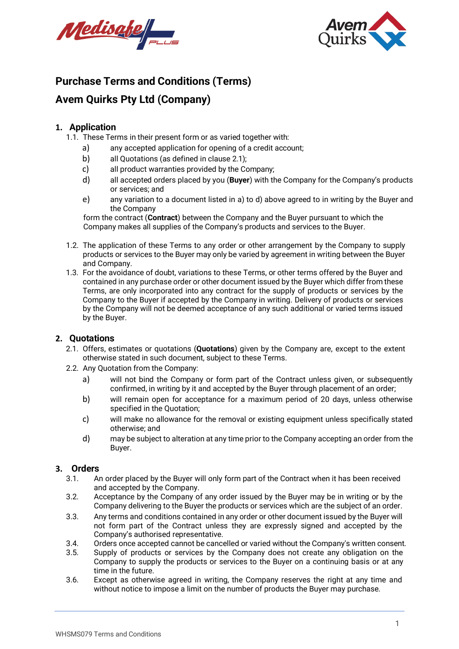



### **Purchase Terms and Conditions (Terms)**

### **Avem Quirks Pty Ltd (Company)**

#### **1. Application**

- <span id="page-0-2"></span><span id="page-0-1"></span>1.1. These Terms in their present form or as varied together with:
	- a) any accepted application for opening of a credit account;
	- b) all Quotations (as defined in clause [2.1\)](#page-0-0);
	- c) all product warranties provided by the Company;
	- d) all accepted orders placed by you (**Buyer**) with the Company for the Company's products or services; and
	- e) any variation to a document listed i[n a\) t](#page-0-1)o [d\) a](#page-0-2)bove agreed to in writing by the Buyer and the Company

form the contract (**Contract**) between the Company and the Buyer pursuant to which the Company makes all supplies of the Company's products and services to the Buyer.

- 1.2. The application of these Terms to any order or other arrangement by the Company to supply products or services to the Buyer may only be varied by agreement in writing between the Buyer and Company.
- 1.3. For the avoidance of doubt, variations to these Terms, or other terms offered by the Buyer and contained in any purchase order or other document issued by the Buyer which differ from these Terms, are only incorporated into any contract for the supply of products or services by the Company to the Buyer if accepted by the Company in writing. Delivery of products or services by the Company will not be deemed acceptance of any such additional or varied terms issued by the Buyer.

#### <span id="page-0-0"></span>**2. Quotations**

- 2.1. Offers, estimates or quotations (**Quotations**) given by the Company are, except to the extent otherwise stated in such document, subject to these Terms.
- <span id="page-0-3"></span>2.2. Any Quotation from the Company:
	- a) will not bind the Company or form part of the Contract unless given, or subsequently confirmed, in writing by it and accepted by the Buyer through placement of an order;
	- b) will remain open for acceptance for a maximum period of 20 days, unless otherwise specified in the Quotation;
	- c) will make no allowance for the removal or existing equipment unless specifically stated otherwise; and
	- d) may be subject to alteration at any time prior to the Company accepting an order from the Buyer.

#### **3. Orders**

- 3.1. An order placed by the Buyer will only form part of the Contract when it has been received and accepted by the Company.
- 3.2. Acceptance by the Company of any order issued by the Buyer may be in writing or by the Company delivering to the Buyer the products or services which are the subject of an order.
- 3.3. Any terms and conditions contained in any order or other document issued by the Buyer will not form part of the Contract unless they are expressly signed and accepted by the Company's authorised representative.
- 3.4. Orders once accepted cannot be cancelled or varied without the Company's written consent.<br>3.5. Supply of products or services by the Company does not create any obligation on the
- Supply of products or services by the Company does not create any obligation on the Company to supply the products or services to the Buyer on a continuing basis or at any time in the future.
- 3.6. Except as otherwise agreed in writing, the Company reserves the right at any time and without notice to impose a limit on the number of products the Buyer may purchase.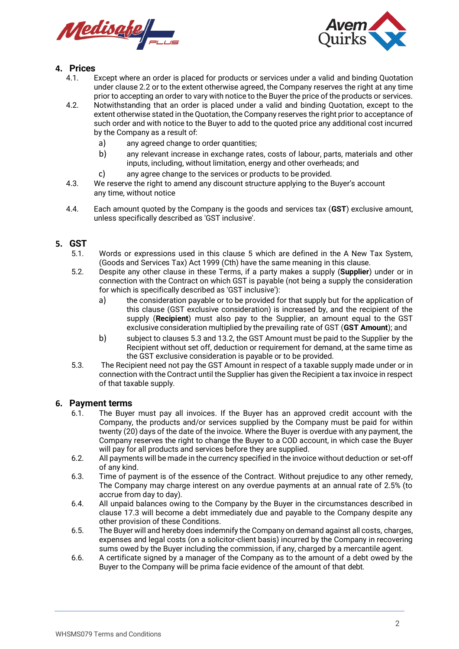



#### **4. Prices**

- 4.1. Except where an order is placed for products or services under a valid and binding Quotation under clause [2.2](#page-0-3) or to the extent otherwise agreed, the Company reserves the right at any time prior to accepting an order to vary with notice to the Buyer the price of the products or services.
- 4.2. Notwithstanding that an order is placed under a valid and binding Quotation, except to the extent otherwise stated in theQuotation, the Company reserves the right prior to acceptance of such order and with notice to the Buyer to add to the quoted price any additional cost incurred by the Company as a result of:
	- a) any agreed change to order quantities;
	- b) any relevant increase in exchange rates, costs of labour, parts, materials and other inputs, including, without limitation, energy and other overheads; and
	- c) any agree change to the services or products to be provided.
- 4.3. We reserve the right to amend any discount structure applying to the Buyer's account any time, without notice
- 4.4. Each amount quoted by the Company is the goods and services tax (**GST**) exclusive amount, unless specifically described as 'GST inclusive'.

## <span id="page-1-0"></span>**5. GST**

- Words or expressions used in this clause [5](#page-1-0) which are defined in the A New Tax System, (Goods and Services Tax) Act 1999 (Cth) have the same meaning in this clause.
- 5.2. Despite any other clause in these Terms, if a party makes a supply (**Supplier**) under or in connection with the Contract on which GST is payable (not being a supply the consideration for which is specifically described as 'GST inclusive'):
	- a) the consideration payable or to be provided for that supply but for the application of this clause (GST exclusive consideration) is increased by, and the recipient of the supply (**Recipient**) must also pay to the Supplier, an amount equal to the GST exclusive consideration multiplied by the prevailing rate of GST (**GST Amount**); and
	- b) subject to clauses 5.3 and [13.2,](#page-4-0) the GST Amount must be paid to the Supplier by the Recipient without set off, deduction or requirement for demand, at the same time as the GST exclusive consideration is payable or to be provided.
- 5.3. The Recipient need not pay the GST Amount in respect of a taxable supply made under or in connection with the Contract until the Supplier has given the Recipient a tax invoice in respect of that taxable supply.

# **6. Payment terms**

- The Buyer must pay all invoices. If the Buyer has an approved credit account with the Company, the products and/or services supplied by the Company must be paid for within twenty (20) days of the date of the invoice. Where the Buyer is overdue with any payment, the Company reserves the right to change the Buyer to a COD account, in which case the Buyer will pay for all products and services before they are supplied.
- 6.2. All payments will be made in the currency specified in the invoice without deduction or set-off of any kind.
- 6.3. Time of payment is of the essence of the Contract. Without prejudice to any other remedy, The Company may charge interest on any overdue payments at an annual rate of 2.5% (to accrue from day to day).
- 6.4. All unpaid balances owing to the Company by the Buyer in the circumstances described in clause [17.3 w](#page-6-0)ill become a debt immediately due and payable to the Company despite any other provision of these Conditions.
- 6.5. The Buyer will and hereby does indemnify the Company on demand against all costs, charges, expenses and legal costs (on a solicitor-client basis) incurred by the Company in recovering sums owed by the Buyer including the commission, if any, charged by a mercantile agent.
- 6.6. A certificate signed by a manager of the Company as to the amount of a debt owed by the Buyer to the Company will be prima facie evidence of the amount of that debt.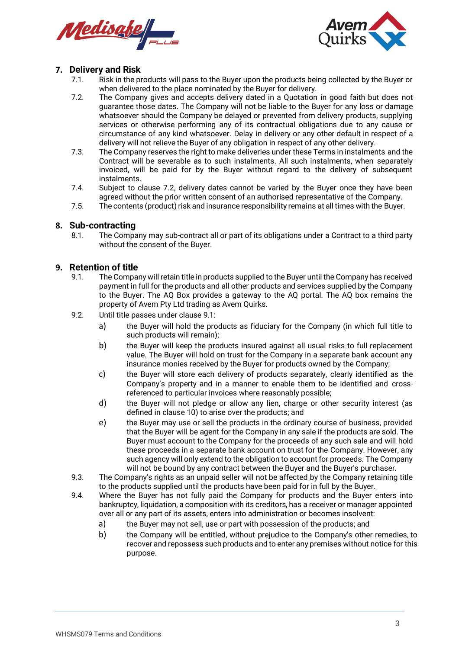



#### **7. Delivery and Risk**

- 7.1. Risk in the products will pass to the Buyer upon the products being collected by the Buyer or when delivered to the place nominated by the Buyer for delivery.
- <span id="page-2-0"></span>7.2. The Company gives and accepts delivery dated in a Quotation in good faith but does not guarantee those dates. The Company will not be liable to the Buyer for any loss or damage whatsoever should the Company be delayed or prevented from delivery products, supplying services or otherwise performing any of its contractual obligations due to any cause or circumstance of any kind whatsoever. Delay in delivery or any other default in respect of a delivery will not relieve the Buyer of any obligation in respect of any other delivery.
- 7.3. The Company reserves the right to make deliveries under these Terms in instalments and the Contract will be severable as to such instalments. All such instalments, when separately invoiced, will be paid for by the Buyer without regard to the delivery of subsequent instalments.
- 7.4. Subject to clause [7.2,](#page-2-0) delivery dates cannot be varied by the Buyer once they have been agreed without the prior written consent of an authorised representative of the Company.
- 7.5. The contents (product) risk and insurance responsibility remains at all times with the Buyer.

# <span id="page-2-2"></span>**8. Sub-contracting**

The Company may sub-contract all or part of its obligations under a Contract to a third party without the consent of the Buyer.

#### <span id="page-2-1"></span>**9. Retention of title**

- 9.1. The Company will retain title in products supplied to the Buyer until the Company has received payment in full for the products and all other products and services supplied by the Company to the Buyer. The AQ Box provides a gateway to the AQ portal. The AQ box remains the property of Avem Pty Ltd trading as Avem Quirks.
- 9.2. Until title passes under clause [9.1:](#page-2-1)
	- a) the Buyer will hold the products as fiduciary for the Company (in which full title to such products will remain);
	- b) the Buyer will keep the products insured against all usual risks to full replacement value. The Buyer will hold on trust for the Company in a separate bank account any insurance monies received by the Buyer for products owned by the Company;
	- c) the Buyer will store each delivery of products separately, clearly identified as the Company's property and in a manner to enable them to be identified and crossreferenced to particular invoices where reasonably possible;
	- d) the Buyer will not pledge or allow any lien, charge or other security interest (as defined in clause [10\)](#page-3-0) to arise over the products; and
	- e) the Buyer may use or sell the products in the ordinary course of business, provided that the Buyer will be agent for the Company in any sale if the products are sold. The Buyer must account to the Company for the proceeds of any such sale and will hold these proceeds in a separate bank account on trust for the Company. However, any such agency will only extend to the obligation to account for proceeds. The Company will not be bound by any contract between the Buyer and the Buyer's purchaser.
- 9.3. The Company's rights as an unpaid seller will not be affected by the Company retaining title to the products supplied until the products have been paid for in full by the Buyer.
- 9.4. Where the Buyer has not fully paid the Company for products and the Buyer enters into bankruptcy, liquidation, a composition with its creditors, has a receiver or manager appointed over all or any part of its assets, enters into administration or becomes insolvent:
	- a) the Buyer may not sell, use or part with possession of the products; and
	- b) the Company will be entitled, without prejudice to the Company's other remedies, to recover and repossess such products and to enter any premises without notice for this purpose.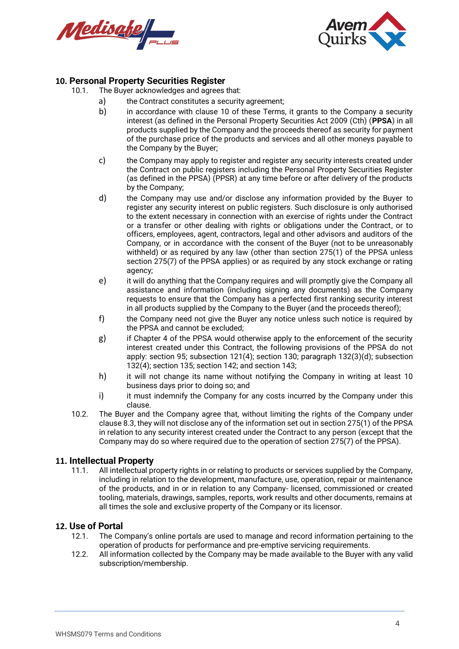



# <span id="page-3-0"></span>**10. Personal Property Securities Register**

- The Buyer acknowledges and agrees that:
	- a) the Contract constitutes a security agreement;
		- b) in accordance with clause [10](#page-3-0) of these Terms, it grants to the Company a security interest (as defined in the Personal Property Securities Act 2009 (Cth) (**PPSA**) in all products supplied by the Company and the proceeds thereof as security for payment of the purchase price of the products and services and all other moneys payable to the Company by the Buyer;
		- c) the Company may apply to register and register any security interests created under the Contract on public registers including the Personal Property Securities Register (as defined in the PPSA) (PPSR) at any time before or after delivery of the products by the Company;
		- d) the Company may use and/or disclose any information provided by the Buyer to register any security interest on public registers. Such disclosure is only authorised to the extent necessary in connection with an exercise of rights under the Contract or a transfer or other dealing with rights or obligations under the Contract, or to officers, employees, agent, contractors, legal and other advisors and auditors of the Company, or in accordance with the consent of the Buyer (not to be unreasonably withheld) or as required by any law (other than section 275(1) of the PPSA unless section 275(7) of the PPSA applies) or as required by any stock exchange or rating agency;
		- e) it will do anything that the Company requires and will promptly give the Company all assistance and information (including signing any documents) as the Company requests to ensure that the Company has a perfected first ranking security interest in all products supplied by the Company to the Buyer (and the proceeds thereof);
		- f) the Company need not give the Buyer any notice unless such notice is required by the PPSA and cannot be excluded;
		- g) if Chapter 4 of the PPSA would otherwise apply to the enforcement of the security interest created under this Contract, the following provisions of the PPSA do not apply: section 95; subsection 121(4); section 130; paragraph 132(3)(d); subsection 132(4); section 135; section 142; and section 143;
		- h) it will not change its name without notifying the Company in writing at least 10 business days prior to doing so; and
		- i) it must indemnify the Company for any costs incurred by the Company under this clause.
- 10.2. The Buyer and the Company agree that, without limiting the rights of the Company under clause 8.3, they will not disclose any of the information set out in section 275(1) of the PPSA in relation to any security interest created under the Contract to any person (except that the Company may do so where required due to the operation of section 275(7) of the PPSA).

#### **11. Intellectual Property**

11.1. All intellectual property rights in or relating to products or services supplied by the Company, including in relation to the development, manufacture, use, operation, repair or maintenance of the products, and in or in relation to any Company- licensed, commissioned or created tooling, materials, drawings, samples, reports, work results and other documents, remains at all times the sole and exclusive property of the Company or its licensor.

#### **12. Use of Portal**

- 12.1. The Company's online portals are used to manage and record information pertaining to the operation of products for performance and pre-emptive servicing requirements.
- 12.2. All information collected by the Company may be made available to the Buyer with any valid subscription/membership.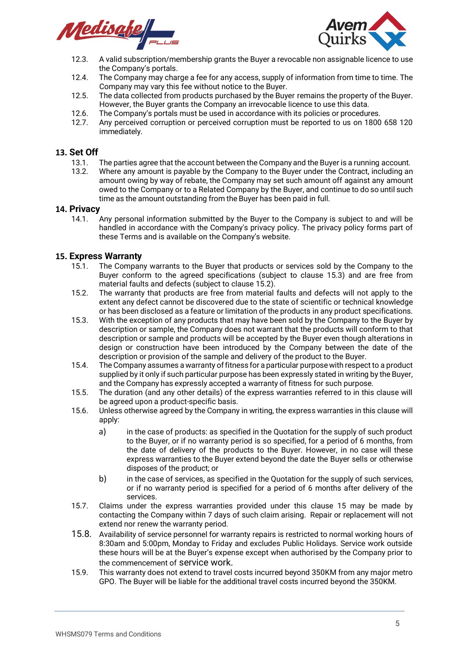

<span id="page-4-0"></span>

- 12.3. A valid subscription/membership grants the Buyer a revocable non assignable licence to use the Company's portals.
- 12.4. The Company may charge a fee for any access, supply of information from time to time. The Company may vary this fee without notice to the Buyer.
- 12.5. The data collected from products purchased by the Buyer remains the property of the Buyer. However, the Buyer grants the Company an irrevocable licence to use this data.
- 12.6. The Company's portals must be used in accordance with its policies or procedures.
- 12.7. Any perceived corruption or perceived corruption must be reported to us on 1800 658 120 immediately.

# **13. Set Off**

- The parties agree that the account between the Company and the Buyer is a running account.
- 13.2. Where any amount is payable by the Company to the Buyer under the Contract, including an amount owing by way of rebate, the Company may set such amount off against any amount owed to the Company or to a Related Company by the Buyer, and continue to do so until such time as the amount outstanding from the Buyer has been paid in full.

# **14. Privacy**

14.1. Any personal information submitted by the Buyer to the Company is subject to and will be handled in accordance with the Company's privacy policy. The privacy policy forms part of these Terms and is available on the Company's website.

#### <span id="page-4-3"></span>**15. Express Warranty**

- 15.1. The Company warrants to the Buyer that products or services sold by the Company to the Buyer conform to the agreed specifications (subject to clause [15.3\)](#page-4-1) and are free from material faults and defects (subject to claus[e 15.2\)](#page-4-2).
- <span id="page-4-2"></span>15.2. The warranty that products are free from material faults and defects will not apply to the extent any defect cannot be discovered due to the state of scientific or technical knowledge or has been disclosed as a feature or limitation of the products in any product specifications.
- <span id="page-4-1"></span>15.3. With the exception of any products that may have been sold by the Company to the Buyer by description or sample, the Company does not warrant that the products will conform to that description or sample and products will be accepted by the Buyer even though alterations in design or construction have been introduced by the Company between the date of the description or provision of the sample and delivery of the product to the Buyer.
- 15.4. The Company assumes a warranty offitness for a particular purposewith respect to a product supplied by it only if such particular purpose has been expressly stated in writing by the Buyer, and the Company has expressly accepted a warranty of fitness for such purpose.
- 15.5. The duration (and any other details) of the express warranties referred to in this clause will be agreed upon a product-specific basis.
- 15.6. Unless otherwise agreed by the Company in writing, the express warranties in this clause will apply:
	- a) in the case of products: as specified in the Quotation for the supply of such product to the Buyer, or if no warranty period is so specified, for a period of 6 months, from the date of delivery of the products to the Buyer. However, in no case will these express warranties to the Buyer extend beyond the date the Buyer sells or otherwise disposes of the product; or
	- b) in the case of services, as specified in the Quotation for the supply of such services, or if no warranty period is specified for a period of 6 months after delivery of the services.
- 15.7. Claims under the express warranties provided under this clause [15](#page-4-3) may be made by contacting the Company within 7 days of such claim arising. Repair or replacement will not extend nor renew the warranty period.
- 15.8. Availability of service personnel for warranty repairs is restricted to normal working hours of 8:30am and 5:00pm, Monday to Friday and excludes Public Holidays. Service work outside these hours will be at the Buyer's expense except when authorised by the Company prior to the commencement of service work.
- 15.9. This warranty does not extend to travel costs incurred beyond 350KM from any major metro GPO. The Buyer will be liable for the additional travel costs incurred beyond the 350KM.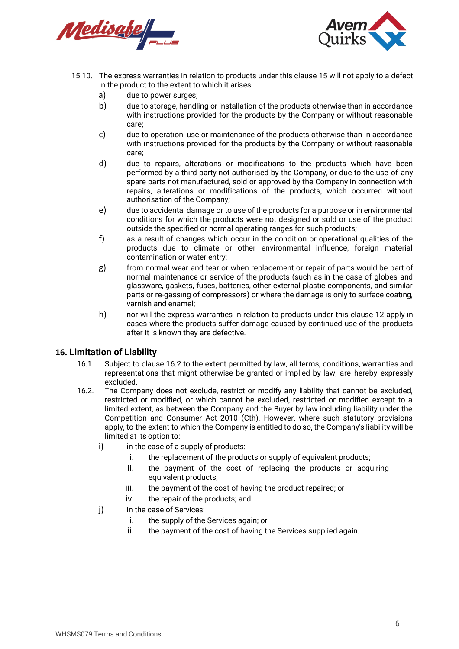Medisate



- 15.10. The express warranties in relation to products under this clause [15](#page-4-3) will not apply to a defect in the product to the extent to which it arises:
	- a) due to power surges;
	- b) due to storage, handling or installation of the products otherwise than in accordance with instructions provided for the products by the Company or without reasonable care;
	- c) due to operation, use or maintenance of the products otherwise than in accordance with instructions provided for the products by the Company or without reasonable care;
	- d) due to repairs, alterations or modifications to the products which have been performed by a third party not authorised by the Company, or due to the use of any spare parts not manufactured, sold or approved by the Company in connection with repairs, alterations or modifications of the products, which occurred without authorisation of the Company;
	- e) due to accidental damage or to use of the products for a purpose or in environmental conditions for which the products were not designed or sold or use of the product outside the specified or normal operating ranges for such products;
	- f) as a result of changes which occur in the condition or operational qualities of the products due to climate or other environmental influence, foreign material contamination or water entry;
	- g) from normal wear and tear or when replacement or repair of parts would be part of normal maintenance or service of the products (such as in the case of globes and glassware, gaskets, fuses, batteries, other external plastic components, and similar parts or re-gassing of compressors) or where the damage is only to surface coating, varnish and enamel;
	- h) nor will the express warranties in relation to products under this clause 12 apply in cases where the products suffer damage caused by continued use of the products after it is known they are defective.

#### **16. Limitation of Liability**

- 16.1. Subject to clause [16.2](#page-5-0) to the extent permitted by law, all terms, conditions, warranties and representations that might otherwise be granted or implied by law, are hereby expressly excluded.
- <span id="page-5-0"></span>16.2. The Company does not exclude, restrict or modify any liability that cannot be excluded, restricted or modified, or which cannot be excluded, restricted or modified except to a limited extent, as between the Company and the Buyer by law including liability under the Competition and Consumer Act 2010 (Cth). However, where such statutory provisions apply, to the extent to which the Company is entitled to do so, the Company's liability will be limited at its option to:
	- i) in the case of a supply of products:
		- i. the replacement of the products or supply of equivalent products;
		- ii. the payment of the cost of replacing the products or acquiring equivalent products;
		- iii. the payment of the cost of having the product repaired; or
		- iv. the repair of the products; and
	- j) in the case of Services:
		- i. the supply of the Services again; or
		- ii. the payment of the cost of having the Services supplied again.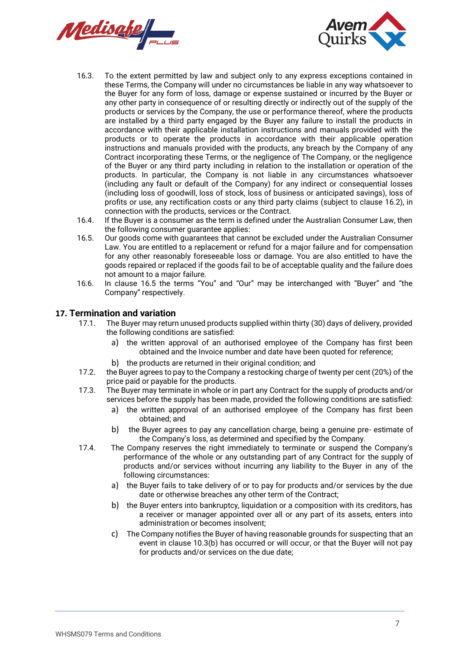



- 16.3. To the extent permitted by law and subject only to any express exceptions contained in these Terms, the Company will under no circumstances be liable in any way whatsoever to the Buyer for any form of loss, damage or expense sustained or incurred by the Buyer or any other party in consequence of or resulting directly or indirectly out of the supply of the products or services by the Company, the use or performance thereof, where the products are installed by a third party engaged by the Buyer any failure to install the products in accordance with their applicable installation instructions and manuals provided with the products or to operate the products in accordance with their applicable operation instructions and manuals provided with the products, any breach by the Company of any Contract incorporating these Terms, or the negligence of The Company, or the negligence of the Buyer or any third party including in relation to the installation or operation of the products. In particular, the Company is not liable in any circumstances whatsoever (including any fault or default of the Company) for any indirect or consequential losses (including loss of goodwill, loss of stock, loss of business or anticipated savings), loss of profits or use, any rectification costs or any third party claims (subject to clause [16.2\)](#page-5-0), in connection with the products, services or the Contract.
- 16.4. If the Buyer is a consumer as the term is defined under the Australian Consumer Law, then the following consumer guarantee applies:
- <span id="page-6-1"></span>16.5. Our goods come with guarantees that cannot be excluded under the Australian Consumer Law. You are entitled to a replacement or refund for a major failure and for compensation for any other reasonably foreseeable loss or damage. You are also entitled to have the goods repaired or replaced if the goods fail to be of acceptable quality and the failure does not amount to a major failure.
- 16.6. In clause [16.5](#page-6-1) the terms "You" and "Our" may be interchanged with "Buyer" and "the Company" respectively.

## **17. Termination and variation**

- The Buyer may return unused products supplied within thirty (30) days of delivery, provided the following conditions are satisfied:
	- a) the written approval of an authorised employee of the Company has first been obtained and the Invoice number and date have been quoted for reference;
	- b) the products are returned in their original condition; and
- 17.2. the Buyer agrees to pay to the Company a restocking charge of twenty per cent(20%) of the price paid or payable for the products.
- <span id="page-6-0"></span>17.3. The Buyer may terminate in whole or in part any Contract for the supply of products and/or services before the supply has been made, provided the following conditions are satisfied:
	- a) the written approval of an authorised employee of the Company has first been obtained; and
	- b) the Buyer agrees to pay any cancellation charge, being a genuine pre- estimate of the Company's loss, as determined and specified by the Company.
- 17.4. The Company reserves the right immediately to terminate or suspend the Company's performance of the whole or any outstanding part of any Contract for the supply of products and/or services without incurring any liability to the Buyer in any of the following circumstances:
	- a) the Buyer fails to take delivery of or to pay for products and/or services by the due date or otherwise breaches any other term of the Contract;
	- b) the Buyer enters into bankruptcy, liquidation or a composition with its creditors, has a receiver or manager appointed over all or any part of its assets, enters into administration or becomes insolvent;
	- c) The Company notifies the Buyer of having reasonable grounds for suspecting that an event in clause 10.3(b) has occurred or will occur, or that the Buyer will not pay for products and/or services on the due date;